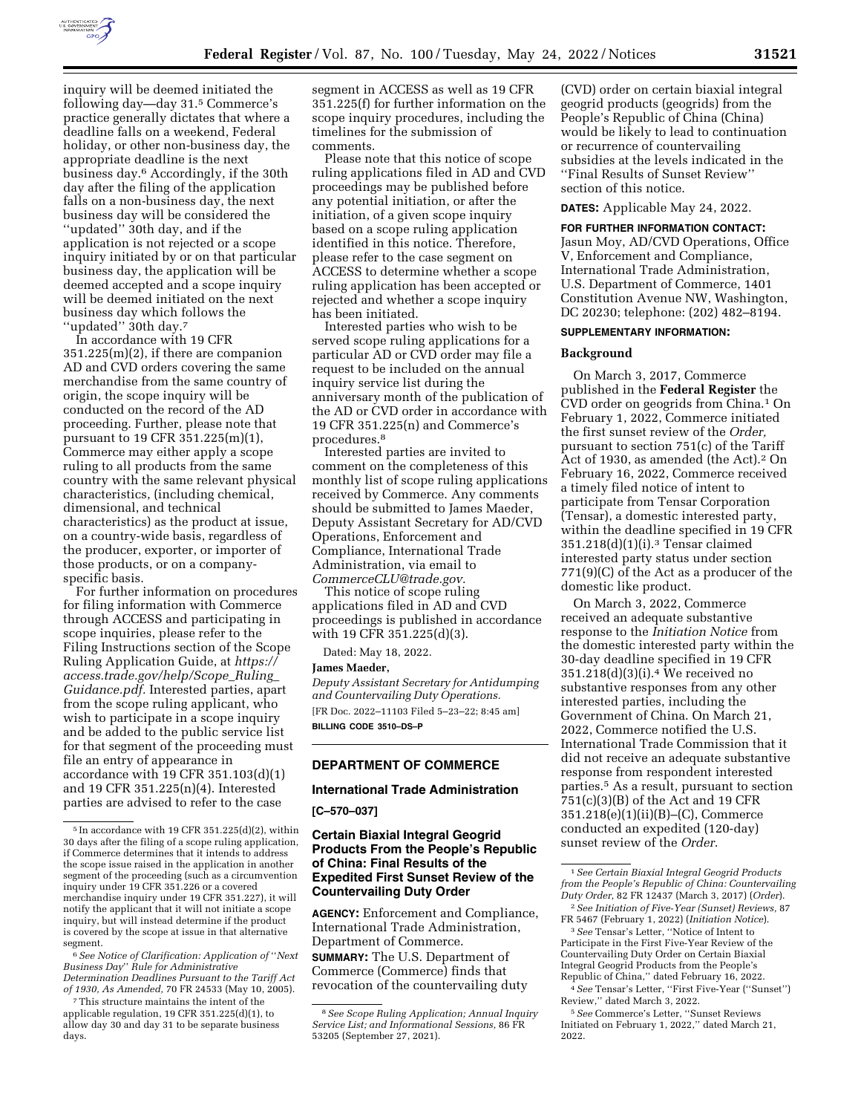

inquiry will be deemed initiated the following day—day 31.5 Commerce's practice generally dictates that where a deadline falls on a weekend, Federal holiday, or other non-business day, the appropriate deadline is the next business day.6 Accordingly, if the 30th day after the filing of the application falls on a non-business day, the next business day will be considered the ''updated'' 30th day, and if the application is not rejected or a scope inquiry initiated by or on that particular business day, the application will be deemed accepted and a scope inquiry will be deemed initiated on the next business day which follows the "updated" 30th day.<sup>7</sup>

In accordance with 19 CFR 351.225(m)(2), if there are companion AD and CVD orders covering the same merchandise from the same country of origin, the scope inquiry will be conducted on the record of the AD proceeding. Further, please note that pursuant to 19 CFR 351.225(m)(1), Commerce may either apply a scope ruling to all products from the same country with the same relevant physical characteristics, (including chemical, dimensional, and technical characteristics) as the product at issue, on a country-wide basis, regardless of the producer, exporter, or importer of those products, or on a companyspecific basis.

For further information on procedures for filing information with Commerce through ACCESS and participating in scope inquiries, please refer to the Filing Instructions section of the Scope Ruling Application Guide, at *https:// access.trade.gov/help/Scope*\_*Ruling*\_ *Guidance.pdf.* Interested parties, apart from the scope ruling applicant, who wish to participate in a scope inquiry and be added to the public service list for that segment of the proceeding must file an entry of appearance in accordance with 19 CFR 351.103(d)(1) and 19 CFR 351.225(n)(4). Interested parties are advised to refer to the case

6*See Notice of Clarification: Application of* ''*Next Business Day*'' *Rule for Administrative Determination Deadlines Pursuant to the Tariff Act of 1930, As Amended,* 70 FR 24533 (May 10, 2005).

7This structure maintains the intent of the applicable regulation, 19 CFR 351.225(d)(1), to allow day 30 and day 31 to be separate business days.

segment in ACCESS as well as 19 CFR 351.225(f) for further information on the scope inquiry procedures, including the timelines for the submission of comments.

Please note that this notice of scope ruling applications filed in AD and CVD proceedings may be published before any potential initiation, or after the initiation, of a given scope inquiry based on a scope ruling application identified in this notice. Therefore, please refer to the case segment on ACCESS to determine whether a scope ruling application has been accepted or rejected and whether a scope inquiry has been initiated.

Interested parties who wish to be served scope ruling applications for a particular AD or CVD order may file a request to be included on the annual inquiry service list during the anniversary month of the publication of the AD or CVD order in accordance with 19 CFR 351.225(n) and Commerce's procedures.8

Interested parties are invited to comment on the completeness of this monthly list of scope ruling applications received by Commerce. Any comments should be submitted to James Maeder, Deputy Assistant Secretary for AD/CVD Operations, Enforcement and Compliance, International Trade Administration, via email to *CommerceCLU@trade.gov.* 

This notice of scope ruling applications filed in AD and CVD proceedings is published in accordance with 19 CFR 351.225(d)(3).

Dated: May 18, 2022.

#### **James Maeder,**

*Deputy Assistant Secretary for Antidumping and Countervailing Duty Operations.*  [FR Doc. 2022–11103 Filed 5–23–22; 8:45 am] **BILLING CODE 3510–DS–P** 

# **DEPARTMENT OF COMMERCE**

# **International Trade Administration**

**[C–570–037]** 

# **Certain Biaxial Integral Geogrid Products From the People's Republic of China: Final Results of the Expedited First Sunset Review of the Countervailing Duty Order**

**AGENCY:** Enforcement and Compliance, International Trade Administration, Department of Commerce.

**SUMMARY:** The U.S. Department of Commerce (Commerce) finds that revocation of the countervailing duty

(CVD) order on certain biaxial integral geogrid products (geogrids) from the People's Republic of China (China) would be likely to lead to continuation or recurrence of countervailing subsidies at the levels indicated in the ''Final Results of Sunset Review'' section of this notice.

**DATES:** Applicable May 24, 2022.

#### **FOR FURTHER INFORMATION CONTACT:**

Jasun Moy, AD/CVD Operations, Office V, Enforcement and Compliance, International Trade Administration, U.S. Department of Commerce, 1401 Constitution Avenue NW, Washington, DC 20230; telephone: (202) 482–8194.

#### **SUPPLEMENTARY INFORMATION:**

### **Background**

On March 3, 2017, Commerce published in the **Federal Register** the CVD order on geogrids from China.1 On February 1, 2022, Commerce initiated the first sunset review of the *Order,*  pursuant to section 751(c) of the Tariff Act of 1930, as amended (the Act).2 On February 16, 2022, Commerce received a timely filed notice of intent to participate from Tensar Corporation (Tensar), a domestic interested party, within the deadline specified in 19 CFR 351.218(d)(1)(i).3 Tensar claimed interested party status under section 771(9)(C) of the Act as a producer of the domestic like product.

On March 3, 2022, Commerce received an adequate substantive response to the *Initiation Notice* from the domestic interested party within the 30-day deadline specified in 19 CFR 351.218(d)(3)(i).4 We received no substantive responses from any other interested parties, including the Government of China. On March 21, 2022, Commerce notified the U.S. International Trade Commission that it did not receive an adequate substantive response from respondent interested parties.5 As a result, pursuant to section 751(c)(3)(B) of the Act and 19 CFR 351.218(e)(1)(ii)(B)–(C), Commerce conducted an expedited (120-day) sunset review of the *Order*.

3*See* Tensar's Letter, ''Notice of Intent to Participate in the First Five-Year Review of the Countervailing Duty Order on Certain Biaxial Integral Geogrid Products from the People's Republic of China,'' dated February 16, 2022.

<sup>5</sup> In accordance with 19 CFR 351.225(d)(2), within 30 days after the filing of a scope ruling application, if Commerce determines that it intends to address the scope issue raised in the application in another segment of the proceeding (such as a circumvention inquiry under 19 CFR 351.226 or a covered merchandise inquiry under 19 CFR 351.227), it will notify the applicant that it will not initiate a scope inquiry, but will instead determine if the product is covered by the scope at issue in that alternative segment.

<sup>8</sup>*See Scope Ruling Application; Annual Inquiry Service List; and Informational Sessions,* 86 FR 53205 (September 27, 2021).

<sup>1</sup>*See Certain Biaxial Integral Geogrid Products from the People's Republic of China: Countervailing Duty Order,* 82 FR 12437 (March 3, 2017) (*Order*).

<sup>2</sup>*See Initiation of Five-Year (Sunset) Reviews,* 87 FR 5467 (February 1, 2022) (*Initiation Notice*).

<sup>4</sup>*See* Tensar's Letter, ''First Five-Year (''Sunset'') Review,'' dated March 3, 2022.

<sup>5</sup>*See* Commerce's Letter, ''Sunset Reviews Initiated on February 1, 2022,'' dated March 21, 2022.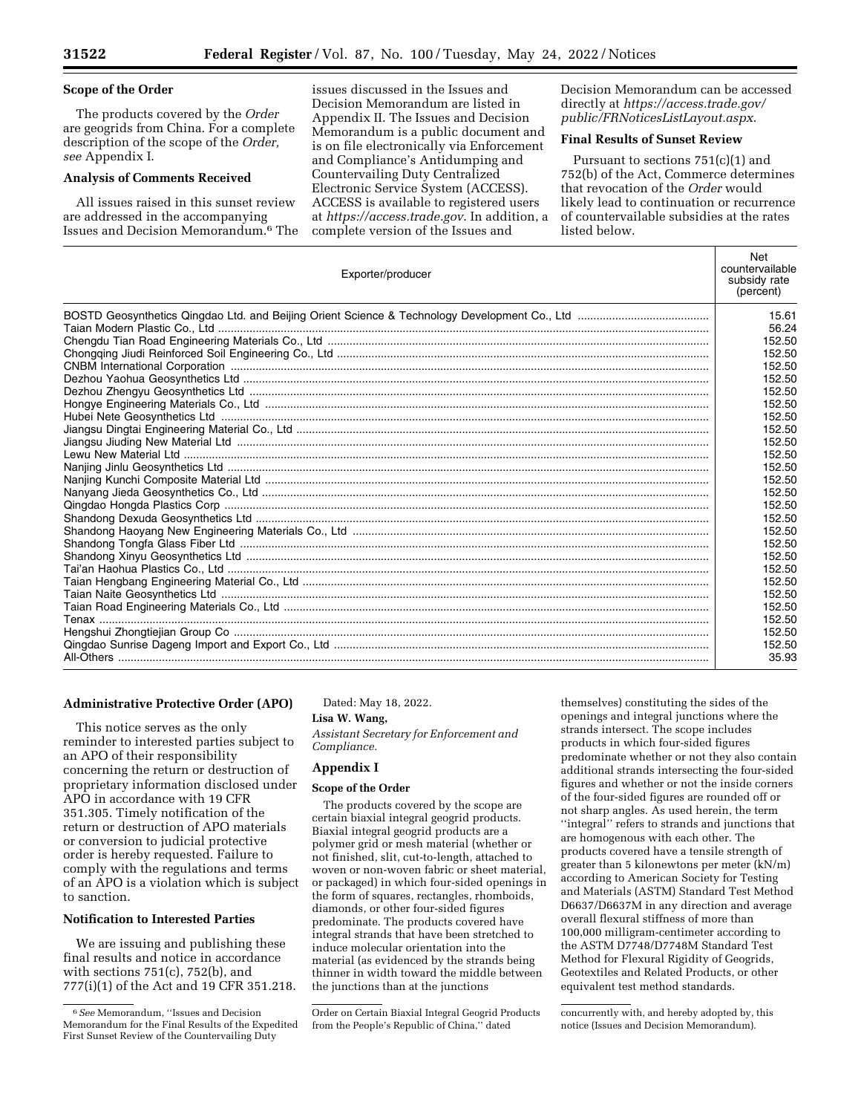# **Scope of the Order**

The products covered by the *Order*  are geogrids from China. For a complete description of the scope of the *Order, see* Appendix I.

### **Analysis of Comments Received**

All issues raised in this sunset review are addressed in the accompanying Issues and Decision Memorandum.6 The

issues discussed in the Issues and Decision Memorandum are listed in Appendix II. The Issues and Decision Memorandum is a public document and is on file electronically via Enforcement and Compliance's Antidumping and Countervailing Duty Centralized Electronic Service System (ACCESS). ACCESS is available to registered users at *https://access.trade.gov*. In addition, a complete version of the Issues and

Decision Memorandum can be accessed directly at *https://access.trade.gov/ public/FRNoticesListLayout.aspx*.

# **Final Results of Sunset Review**

Pursuant to sections 751(c)(1) and 752(b) of the Act, Commerce determines that revocation of the *Order* would likely lead to continuation or recurrence of countervailable subsidies at the rates listed below.

 $N_{\text{tot}}$ 

| Exporter/producer | 19 U L<br>countervailable<br>subsidy rate<br>(percent) |
|-------------------|--------------------------------------------------------|
|                   | 15.61                                                  |
|                   | 56.24                                                  |
|                   | 152.50                                                 |
|                   | 152.50                                                 |
|                   | 152.50                                                 |
|                   | 152.50                                                 |
|                   | 152.50                                                 |
|                   | 152.50                                                 |
|                   | 152.50                                                 |
|                   | 152.50                                                 |
|                   | 152.50                                                 |
|                   | 152.50                                                 |
|                   | 152.50                                                 |
|                   | 152.50                                                 |
|                   | 152.50                                                 |
|                   | 152.50                                                 |
|                   | 152.50                                                 |
|                   | 152.50                                                 |
|                   | 152.50                                                 |
|                   | 152.50                                                 |
|                   | 152.50                                                 |
|                   | 152.50                                                 |
|                   | 152.50                                                 |
|                   | 152.50                                                 |
|                   | 152.50                                                 |
|                   | 152.50                                                 |
|                   | 152.50                                                 |
|                   | 35.93                                                  |

# **Administrative Protective Order (APO)**

This notice serves as the only reminder to interested parties subject to an APO of their responsibility concerning the return or destruction of proprietary information disclosed under APO in accordance with 19 CFR 351.305. Timely notification of the return or destruction of APO materials or conversion to judicial protective order is hereby requested. Failure to comply with the regulations and terms of an APO is a violation which is subject to sanction.

# **Notification to Interested Parties**

We are issuing and publishing these final results and notice in accordance with sections 751(c), 752(b), and 777(i)(1) of the Act and 19 CFR 351.218. Dated: May 18, 2022.

# **Lisa W. Wang,**

*Assistant Secretary for Enforcement and Compliance.* 

# **Appendix I**

## **Scope of the Order**

The products covered by the scope are certain biaxial integral geogrid products. Biaxial integral geogrid products are a polymer grid or mesh material (whether or not finished, slit, cut-to-length, attached to woven or non-woven fabric or sheet material, or packaged) in which four-sided openings in the form of squares, rectangles, rhomboids, diamonds, or other four-sided figures predominate. The products covered have integral strands that have been stretched to induce molecular orientation into the material (as evidenced by the strands being thinner in width toward the middle between the junctions than at the junctions

themselves) constituting the sides of the openings and integral junctions where the strands intersect. The scope includes products in which four-sided figures predominate whether or not they also contain additional strands intersecting the four-sided figures and whether or not the inside corners of the four-sided figures are rounded off or not sharp angles. As used herein, the term ''integral'' refers to strands and junctions that are homogenous with each other. The products covered have a tensile strength of greater than 5 kilonewtons per meter (kN/m) according to American Society for Testing and Materials (ASTM) Standard Test Method D6637/D6637M in any direction and average overall flexural stiffness of more than 100,000 milligram-centimeter according to the ASTM D7748/D7748M Standard Test Method for Flexural Rigidity of Geogrids, Geotextiles and Related Products, or other equivalent test method standards.

<sup>6</sup>*See* Memorandum, ''Issues and Decision Memorandum for the Final Results of the Expedited First Sunset Review of the Countervailing Duty

Order on Certain Biaxial Integral Geogrid Products from the People's Republic of China,'' dated

concurrently with, and hereby adopted by, this notice (Issues and Decision Memorandum).